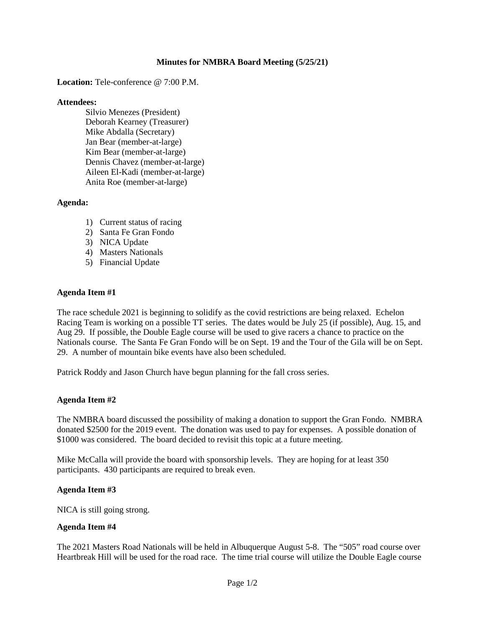## **Minutes for NMBRA Board Meeting (5/25/21)**

#### **Location:** Tele-conference @ 7:00 P.M.

#### **Attendees:**

Silvio Menezes (President) Deborah Kearney (Treasurer) Mike Abdalla (Secretary) Jan Bear (member-at-large) Kim Bear (member-at-large) Dennis Chavez (member-at-large) Aileen El-Kadi (member-at-large) Anita Roe (member-at-large)

## **Agenda:**

- 1) Current status of racing
- 2) Santa Fe Gran Fondo
- 3) NICA Update
- 4) Masters Nationals
- 5) Financial Update

## **Agenda Item #1**

The race schedule 2021 is beginning to solidify as the covid restrictions are being relaxed. Echelon Racing Team is working on a possible TT series. The dates would be July 25 (if possible), Aug. 15, and Aug 29. If possible, the Double Eagle course will be used to give racers a chance to practice on the Nationals course. The Santa Fe Gran Fondo will be on Sept. 19 and the Tour of the Gila will be on Sept. 29. A number of mountain bike events have also been scheduled.

Patrick Roddy and Jason Church have begun planning for the fall cross series.

## **Agenda Item #2**

The NMBRA board discussed the possibility of making a donation to support the Gran Fondo. NMBRA donated \$2500 for the 2019 event. The donation was used to pay for expenses. A possible donation of \$1000 was considered. The board decided to revisit this topic at a future meeting.

Mike McCalla will provide the board with sponsorship levels. They are hoping for at least 350 participants. 430 participants are required to break even.

## **Agenda Item #3**

NICA is still going strong.

## **Agenda Item #4**

The 2021 Masters Road Nationals will be held in Albuquerque August 5-8. The "505" road course over Heartbreak Hill will be used for the road race. The time trial course will utilize the Double Eagle course